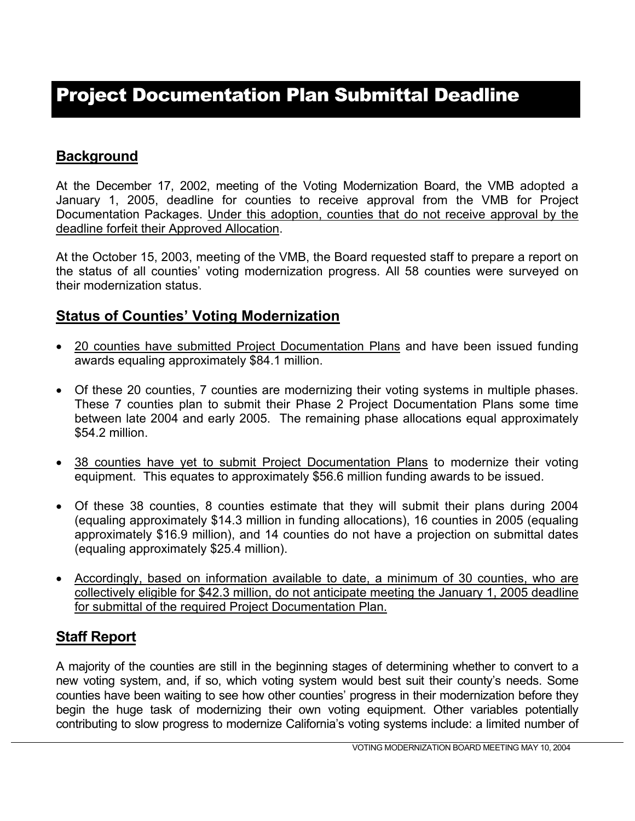# Project Documentation Plan Submittal Deadline

### **Background**

At the December 17, 2002, meeting of the Voting Modernization Board, the VMB adopted a January 1, 2005, deadline for counties to receive approval from the VMB for Project Documentation Packages. Under this adoption, counties that do not receive approval by the deadline forfeit their Approved Allocation.

At the October 15, 2003, meeting of the VMB, the Board requested staff to prepare a report on the status of all counties' voting modernization progress. All 58 counties were surveyed on their modernization status.

#### **Status of Counties' Voting Modernization**

- 20 counties have submitted Project Documentation Plans and have been issued funding awards equaling approximately \$84.1 million.
- Of these 20 counties, 7 counties are modernizing their voting systems in multiple phases. These 7 counties plan to submit their Phase 2 Project Documentation Plans some time between late 2004 and early 2005. The remaining phase allocations equal approximately \$54.2 million.
- 38 counties have yet to submit Project Documentation Plans to modernize their voting equipment. This equates to approximately \$56.6 million funding awards to be issued.
- Of these 38 counties, 8 counties estimate that they will submit their plans during 2004 (equaling approximately \$14.3 million in funding allocations), 16 counties in 2005 (equaling approximately \$16.9 million), and 14 counties do not have a projection on submittal dates (equaling approximately \$25.4 million).
- Accordingly, based on information available to date, a minimum of 30 counties, who are collectively eligible for \$42.3 million, do not anticipate meeting the January 1, 2005 deadline for submittal of the required Project Documentation Plan.

# **Staff Report**

A majority of the counties are still in the beginning stages of determining whether to convert to a new voting system, and, if so, which voting system would best suit their county's needs. Some counties have been waiting to see how other counties' progress in their modernization before they begin the huge task of modernizing their own voting equipment. Other variables potentially contributing to slow progress to modernize California's voting systems include: a limited number of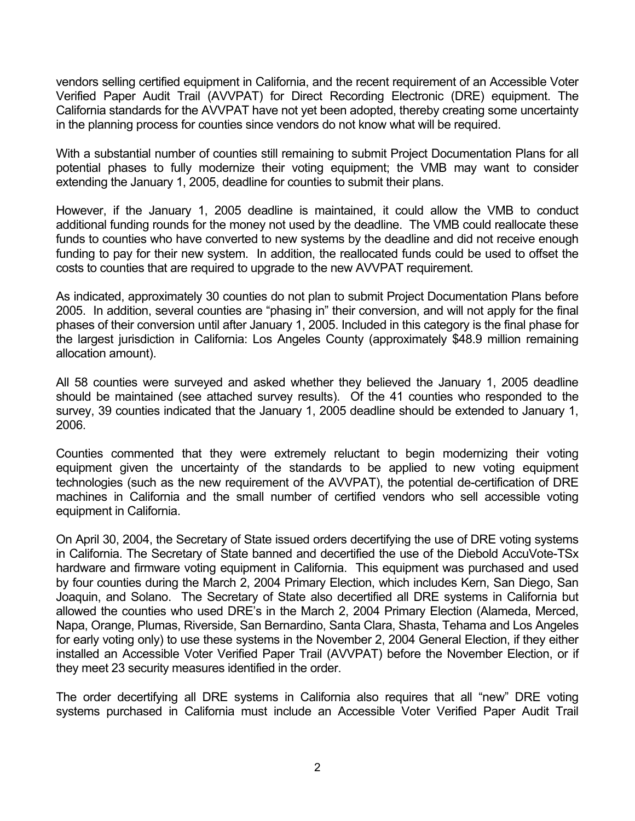vendors selling certified equipment in California, and the recent requirement of an Accessible Voter Verified Paper Audit Trail (AVVPAT) for Direct Recording Electronic (DRE) equipment. The California standards for the AVVPAT have not yet been adopted, thereby creating some uncertainty in the planning process for counties since vendors do not know what will be required.

With a substantial number of counties still remaining to submit Project Documentation Plans for all potential phases to fully modernize their voting equipment; the VMB may want to consider extending the January 1, 2005, deadline for counties to submit their plans.

However, if the January 1, 2005 deadline is maintained, it could allow the VMB to conduct additional funding rounds for the money not used by the deadline. The VMB could reallocate these funds to counties who have converted to new systems by the deadline and did not receive enough funding to pay for their new system. In addition, the reallocated funds could be used to offset the costs to counties that are required to upgrade to the new AVVPAT requirement.

As indicated, approximately 30 counties do not plan to submit Project Documentation Plans before 2005. In addition, several counties are "phasing in" their conversion, and will not apply for the final phases of their conversion until after January 1, 2005. Included in this category is the final phase for the largest jurisdiction in California: Los Angeles County (approximately \$48.9 million remaining allocation amount).

All 58 counties were surveyed and asked whether they believed the January 1, 2005 deadline should be maintained (see attached survey results). Of the 41 counties who responded to the survey, 39 counties indicated that the January 1, 2005 deadline should be extended to January 1, 2006.

Counties commented that they were extremely reluctant to begin modernizing their voting equipment given the uncertainty of the standards to be applied to new voting equipment technologies (such as the new requirement of the AVVPAT), the potential de-certification of DRE machines in California and the small number of certified vendors who sell accessible voting equipment in California.

On April 30, 2004, the Secretary of State issued orders decertifying the use of DRE voting systems in California. The Secretary of State banned and decertified the use of the Diebold AccuVote-TSx hardware and firmware voting equipment in California. This equipment was purchased and used by four counties during the March 2, 2004 Primary Election, which includes Kern, San Diego, San Joaquin, and Solano. The Secretary of State also decertified all DRE systems in California but allowed the counties who used DRE's in the March 2, 2004 Primary Election (Alameda, Merced, Napa, Orange, Plumas, Riverside, San Bernardino, Santa Clara, Shasta, Tehama and Los Angeles for early voting only) to use these systems in the November 2, 2004 General Election, if they either installed an Accessible Voter Verified Paper Trail (AVVPAT) before the November Election, or if they meet 23 security measures identified in the order.

The order decertifying all DRE systems in California also requires that all "new" DRE voting systems purchased in California must include an Accessible Voter Verified Paper Audit Trail